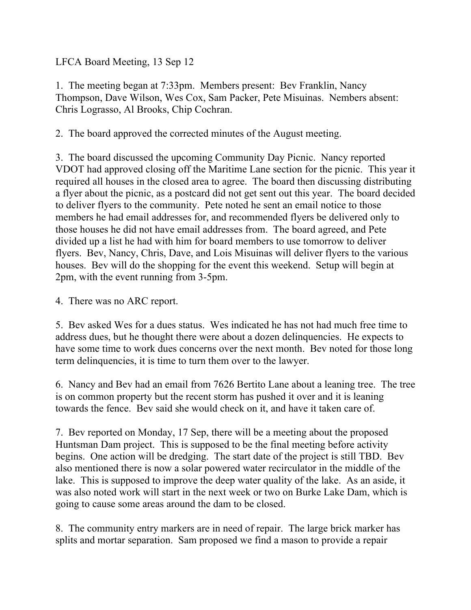LFCA Board Meeting, 13 Sep 12

1. The meeting began at 7:33pm. Members present: Bev Franklin, Nancy Thompson, Dave Wilson, Wes Cox, Sam Packer, Pete Misuinas. Nembers absent: Chris Lograsso, Al Brooks, Chip Cochran.

2. The board approved the corrected minutes of the August meeting.

3. The board discussed the upcoming Community Day Picnic. Nancy reported VDOT had approved closing off the Maritime Lane section for the picnic. This year it required all houses in the closed area to agree. The board then discussing distributing a flyer about the picnic, as a postcard did not get sent out this year. The board decided to deliver flyers to the community. Pete noted he sent an email notice to those members he had email addresses for, and recommended flyers be delivered only to those houses he did not have email addresses from. The board agreed, and Pete divided up a list he had with him for board members to use tomorrow to deliver flyers. Bev, Nancy, Chris, Dave, and Lois Misuinas will deliver flyers to the various houses. Bev will do the shopping for the event this weekend. Setup will begin at 2pm, with the event running from 3-5pm.

4. There was no ARC report.

5. Bev asked Wes for a dues status. Wes indicated he has not had much free time to address dues, but he thought there were about a dozen delinquencies. He expects to have some time to work dues concerns over the next month. Bev noted for those long term delinquencies, it is time to turn them over to the lawyer.

6. Nancy and Bev had an email from 7626 Bertito Lane about a leaning tree. The tree is on common property but the recent storm has pushed it over and it is leaning towards the fence. Bev said she would check on it, and have it taken care of.

7. Bev reported on Monday, 17 Sep, there will be a meeting about the proposed Huntsman Dam project. This is supposed to be the final meeting before activity begins. One action will be dredging. The start date of the project is still TBD. Bev also mentioned there is now a solar powered water recirculator in the middle of the lake. This is supposed to improve the deep water quality of the lake. As an aside, it was also noted work will start in the next week or two on Burke Lake Dam, which is going to cause some areas around the dam to be closed.

8. The community entry markers are in need of repair. The large brick marker has splits and mortar separation. Sam proposed we find a mason to provide a repair